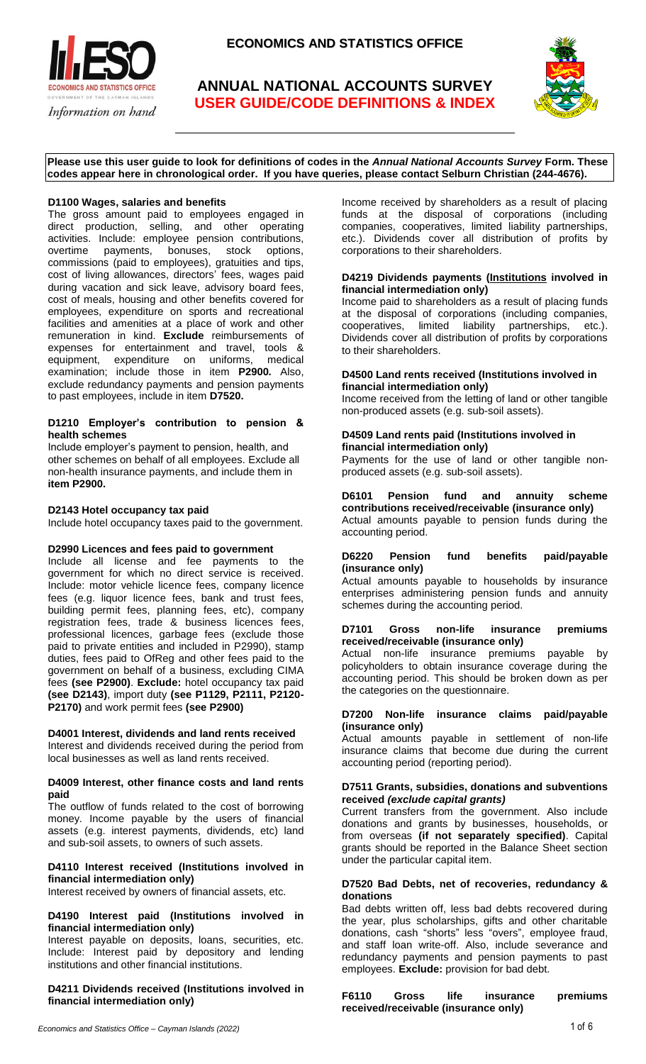

# **ANNUAL NATIONAL ACCOUNTS SURVEY USER GUIDE/CODE DEFINITIONS & INDEX**



**Please use this user guide to look for definitions of codes in the** *Annual National Accounts Survey* **Form. These codes appear here in chronological order. If you have queries, please contact Selburn Christian (244-4676).**

# **D1100 Wages, salaries and benefits**

The gross amount paid to employees engaged in direct production, selling, and other operating activities. Include: employee pension contributions, overtime payments, bonuses, stock options, commissions (paid to employees), gratuities and tips, cost of living allowances, directors' fees, wages paid during vacation and sick leave, advisory board fees, cost of meals, housing and other benefits covered for employees, expenditure on sports and recreational facilities and amenities at a place of work and other remuneration in kind. **Exclude** reimbursements of expenses for entertainment and travel, tools & equipment, expenditure on uniforms, medical examination; include those in item **P2900***.* Also, exclude redundancy payments and pension payments to past employees, include in item **D7520.**

## **D1210 Employer's contribution to pension & health schemes**

Include employer's payment to pension, health, and other schemes on behalf of all employees. Exclude all non-health insurance payments, and include them in **item P2900.**

# **D2143 Hotel occupancy tax paid**

Include hotel occupancy taxes paid to the government.

### **D2990 Licences and fees paid to government**

Include all license and fee payments to the government for which no direct service is received. Include: motor vehicle licence fees, company licence fees (e.g. liquor licence fees, bank and trust fees, building permit fees, planning fees, etc), company registration fees, trade & business licences fees, professional licences, garbage fees (exclude those paid to private entities and included in P2990), stamp duties, fees paid to OfReg and other fees paid to the government on behalf of a business, excluding CIMA fees **(see P2900)**. **Exclude:** hotel occupancy tax paid **(see D2143)**, import duty **(see P1129, P2111, P2120- P2170)** and work permit fees **(see P2900)**

#### **D4001 Interest, dividends and land rents received**  Interest and dividends received during the period from

local businesses as well as land rents received.

#### **D4009 Interest, other finance costs and land rents paid**

The outflow of funds related to the cost of borrowing money. Income payable by the users of financial assets (e.g. interest payments, dividends, etc) land and sub-soil assets, to owners of such assets.

# **D4110 Interest received (Institutions involved in financial intermediation only)**

Interest received by owners of financial assets, etc.

# **D4190 Interest paid (Institutions involved in financial intermediation only)**

Interest payable on deposits, loans, securities, etc. Include: Interest paid by depository and lending institutions and other financial institutions.

# **D4211 Dividends received (Institutions involved in financial intermediation only)**

Income received by shareholders as a result of placing funds at the disposal of corporations (including companies, cooperatives, limited liability partnerships, etc.). Dividends cover all distribution of profits by corporations to their shareholders.

## **D4219 Dividends payments (Institutions involved in financial intermediation only)**

Income paid to shareholders as a result of placing funds at the disposal of corporations (including companies, cooperatives, limited liability partnerships, etc.). Dividends cover all distribution of profits by corporations to their shareholders.

#### **D4500 Land rents received (Institutions involved in financial intermediation only)**

Income received from the letting of land or other tangible non-produced assets (e.g. sub-soil assets).

## **D4509 Land rents paid (Institutions involved in financial intermediation only)**

Payments for the use of land or other tangible nonproduced assets (e.g. sub-soil assets).

#### **D6101 Pension fund and annuity scheme contributions received/receivable (insurance only)**  Actual amounts payable to pension funds during the accounting period.

# **D6220 Pension fund benefits paid/payable (insurance only)**

Actual amounts payable to households by insurance enterprises administering pension funds and annuity schemes during the accounting period.

#### **D7101 Gross non-life insurance premiums received/receivable (insurance only)**

Actual non-life insurance premiums payable by policyholders to obtain insurance coverage during the accounting period. This should be broken down as per the categories on the questionnaire.

### **D7200 Non-life insurance claims paid/payable (insurance only)**

Actual amounts payable in settlement of non-life insurance claims that become due during the current accounting period (reporting period).

## **D7511 Grants, subsidies, donations and subventions received** *(exclude capital grants)*

Current transfers from the government. Also include donations and grants by businesses, households, or from overseas **(if not separately specified)**. Capital grants should be reported in the Balance Sheet section under the particular capital item.

## **D7520 Bad Debts, net of recoveries, redundancy & donations**

Bad debts written off, less bad debts recovered during the year, plus scholarships, gifts and other charitable donations, cash "shorts" less "overs", employee fraud, and staff loan write-off. Also, include severance and redundancy payments and pension payments to past employees. **Exclude:** provision for bad debt.

**F6110 Gross life insurance premiums received/receivable (insurance only)**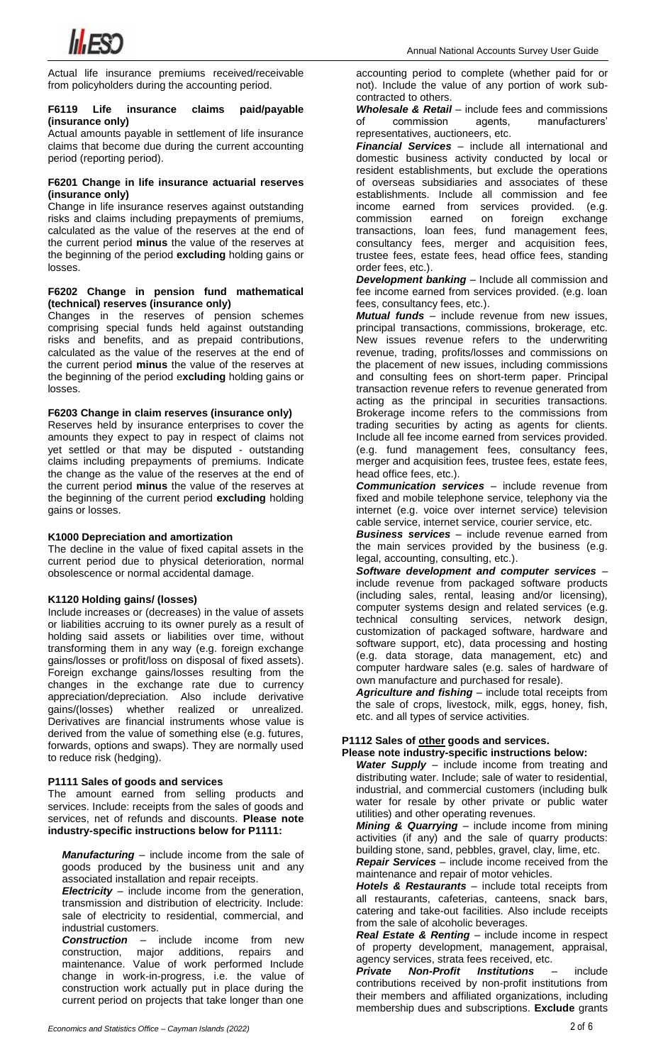

Actual life insurance premiums received/receivable from policyholders during the accounting period.

#### **F6119 Life insurance claims paid/payable (insurance only)**

Actual amounts payable in settlement of life insurance claims that become due during the current accounting period (reporting period).

## **F6201 Change in life insurance actuarial reserves (insurance only)**

Change in life insurance reserves against outstanding risks and claims including prepayments of premiums, calculated as the value of the reserves at the end of the current period **minus** the value of the reserves at the beginning of the period **excluding** holding gains or losses.

#### **F6202 Change in pension fund mathematical (technical) reserves (insurance only)**

Changes in the reserves of pension schemes comprising special funds held against outstanding risks and benefits, and as prepaid contributions, calculated as the value of the reserves at the end of the current period **minus** the value of the reserves at the beginning of the period e**xcluding** holding gains or losses.

# **F6203 Change in claim reserves (insurance only)**

Reserves held by insurance enterprises to cover the amounts they expect to pay in respect of claims not yet settled or that may be disputed - outstanding claims including prepayments of premiums. Indicate the change as the value of the reserves at the end of the current period **minus** the value of the reserves at the beginning of the current period **excluding** holding gains or losses.

## **K1000 Depreciation and amortization**

The decline in the value of fixed capital assets in the current period due to physical deterioration, normal obsolescence or normal accidental damage.

# **K1120 Holding gains/ (losses)**

Include increases or (decreases) in the value of assets or liabilities accruing to its owner purely as a result of holding said assets or liabilities over time, without transforming them in any way (e.g. foreign exchange gains/losses or profit/loss on disposal of fixed assets). Foreign exchange gains/losses resulting from the changes in the exchange rate due to currency appreciation/depreciation. Also include derivative gains/(losses) whether realized or unrealized. Derivatives are financial instruments whose value is derived from the value of something else (e.g. futures, forwards, options and swaps). They are normally used to reduce risk (hedging).

# **P1111 Sales of goods and services**

The amount earned from selling products and services. Include: receipts from the sales of goods and services, net of refunds and discounts. **Please note industry-specific instructions below for P1111:**

*Manufacturing* – include income from the sale of goods produced by the business unit and any associated installation and repair receipts.

*Electricity* – include income from the generation, transmission and distribution of electricity. Include: sale of electricity to residential, commercial, and industrial customers.

**Construction** – include income from new<br>construction, major additions, repairs and construction, major additions, repairs and maintenance. Value of work performed Include change in work-in-progress, i.e. the value of construction work actually put in place during the current period on projects that take longer than one

accounting period to complete (whether paid for or not). Include the value of any portion of work subcontracted to others.

**Wholesale & Retail** – include fees and commissions of commission agents, manufacturers' commission agents, manufacturers' representatives, auctioneers, etc.

*Financial Services* – include all international and domestic business activity conducted by local or resident establishments, but exclude the operations of overseas subsidiaries and associates of these establishments. Include all commission and fee income earned from services provided. (e.g. commission earned on foreign exchange transactions, loan fees, fund management fees, consultancy fees, merger and acquisition fees, trustee fees, estate fees, head office fees, standing order fees, etc.).

*Development banking* – Include all commission and fee income earned from services provided. (e.g. loan fees, consultancy fees, etc.).

*Mutual funds* – include revenue from new issues, principal transactions, commissions, brokerage, etc. New issues revenue refers to the underwriting revenue, trading, profits/losses and commissions on the placement of new issues, including commissions and consulting fees on short-term paper. Principal transaction revenue refers to revenue generated from acting as the principal in securities transactions. Brokerage income refers to the commissions from trading securities by acting as agents for clients. Include all fee income earned from services provided. (e.g. fund management fees, consultancy fees, merger and acquisition fees, trustee fees, estate fees, head office fees, etc.).

*Communication services* – include revenue from fixed and mobile telephone service, telephony via the internet (e.g. voice over internet service) television cable service, internet service, courier service, etc.

*Business services* – include revenue earned from the main services provided by the business (e.g. legal, accounting, consulting, etc.).

*Software development and computer services* – include revenue from packaged software products (including sales, rental, leasing and/or licensing), computer systems design and related services (e.g. technical consulting services, network design, customization of packaged software, hardware and software support, etc), data processing and hosting (e.g. data storage, data management, etc) and computer hardware sales (e.g. sales of hardware of own manufacture and purchased for resale).

*Agriculture and fishing* – include total receipts from the sale of crops, livestock, milk, eggs, honey, fish, etc. and all types of service activities.

# **P1112 Sales of other goods and services.**

#### **Please note industry-specific instructions below:**

*Water Supply* – include income from treating and distributing water. Include; sale of water to residential, industrial, and commercial customers (including bulk water for resale by other private or public water utilities) and other operating revenues.

*Mining & Quarrying* – include income from mining activities (if any) and the sale of quarry products: building stone, sand, pebbles, gravel, clay, lime, etc.

*Repair Services* – include income received from the maintenance and repair of motor vehicles.

*Hotels & Restaurants* – include total receipts from all restaurants, cafeterias, canteens, snack bars, catering and take-out facilities. Also include receipts from the sale of alcoholic beverages.

*Real Estate & Renting* – include income in respect of property development, management, appraisal, agency services, strata fees received, etc.

*Private Non-Profit Institutions* – include contributions received by non-profit institutions from their members and affiliated organizations, including membership dues and subscriptions. **Exclude** grants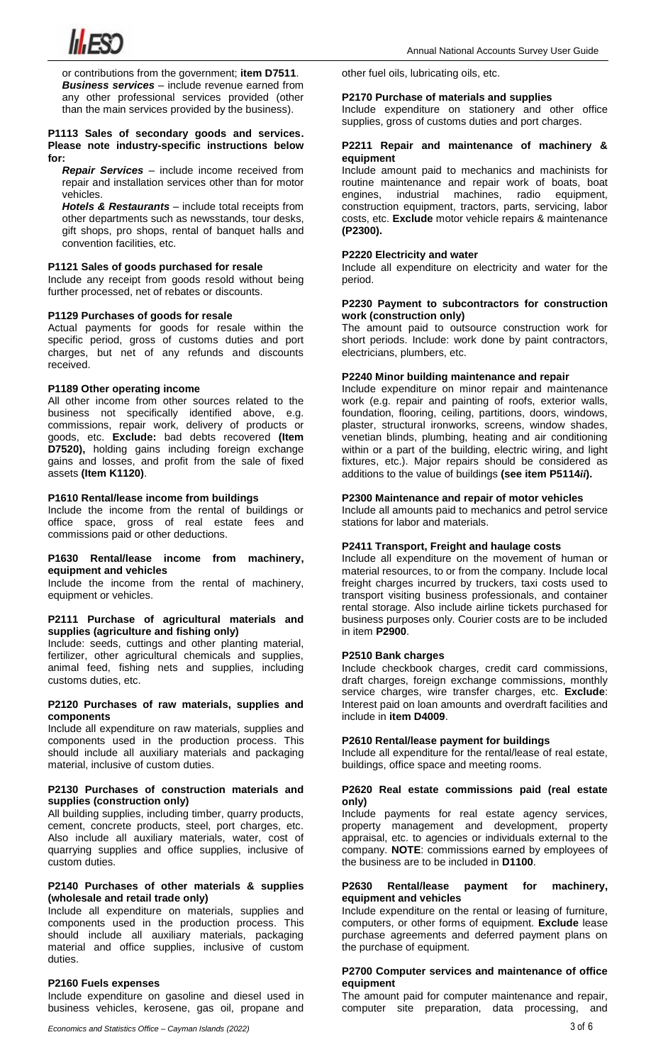

or contributions from the government; **item D7511**. *Business services* – include revenue earned from any other professional services provided (other than the main services provided by the business).

#### **P1113 Sales of secondary goods and services. Please note industry-specific instructions below for:**

*Repair Services* – include income received from repair and installation services other than for motor vehicles.

*Hotels & Restaurants* – include total receipts from other departments such as newsstands, tour desks, gift shops, pro shops, rental of banquet halls and convention facilities, etc.

## **P1121 Sales of goods purchased for resale**

Include any receipt from goods resold without being further processed, net of rebates or discounts.

#### **P1129 Purchases of goods for resale**

Actual payments for goods for resale within the specific period, gross of customs duties and port charges, but net of any refunds and discounts received.

## **P1189 Other operating income**

All other income from other sources related to the business not specifically identified above, e.g. commissions, repair work, delivery of products or goods, etc. **Exclude:** bad debts recovered **(Item D7520),** holding gains including foreign exchange gains and losses, and profit from the sale of fixed assets **(Item K1120)**.

# **P1610 Rental/lease income from buildings**

Include the income from the rental of buildings or office space, gross of real estate fees and commissions paid or other deductions.

#### **P1630 Rental/lease income from machinery, equipment and vehicles**

Include the income from the rental of machinery, equipment or vehicles.

#### **P2111 Purchase of agricultural materials and supplies (agriculture and fishing only)**

Include: seeds, cuttings and other planting material, fertilizer, other agricultural chemicals and supplies, animal feed, fishing nets and supplies, including customs duties, etc.

## **P2120 Purchases of raw materials, supplies and components**

Include all expenditure on raw materials, supplies and components used in the production process. This should include all auxiliary materials and packaging material, inclusive of custom duties.

#### **P2130 Purchases of construction materials and supplies (construction only)**

All building supplies, including timber, quarry products, cement, concrete products, steel, port charges, etc. Also include all auxiliary materials, water, cost of quarrying supplies and office supplies, inclusive of custom duties.

#### **P2140 Purchases of other materials & supplies (wholesale and retail trade only)**

Include all expenditure on materials, supplies and components used in the production process. This should include all auxiliary materials, packaging material and office supplies, inclusive of custom duties.

#### **P2160 Fuels expenses**

Include expenditure on gasoline and diesel used in business vehicles, kerosene, gas oil, propane and other fuel oils, lubricating oils, etc.

# **P2170 Purchase of materials and supplies**

Include expenditure on stationery and other office supplies, gross of customs duties and port charges.

#### **P2211 Repair and maintenance of machinery & equipment**

Include amount paid to mechanics and machinists for routine maintenance and repair work of boats, boat engines, industrial machines, radio equipment, construction equipment, tractors, parts, servicing, labor costs, etc. **Exclude** motor vehicle repairs & maintenance **(P2300).**

# **P2220 Electricity and water**

Include all expenditure on electricity and water for the period.

#### **P2230 Payment to subcontractors for construction work (construction only)**

The amount paid to outsource construction work for short periods. Include: work done by paint contractors, electricians, plumbers, etc.

#### **P2240 Minor building maintenance and repair**

Include expenditure on minor repair and maintenance work (e.g. repair and painting of roofs, exterior walls, foundation, flooring, ceiling, partitions, doors, windows, plaster, structural ironworks, screens, window shades, venetian blinds, plumbing, heating and air conditioning within or a part of the building, electric wiring, and light fixtures, etc.). Major repairs should be considered as additions to the value of buildings **(see item P5114***ii***).**

#### **P2300 Maintenance and repair of motor vehicles**

Include all amounts paid to mechanics and petrol service stations for labor and materials.

## **P2411 Transport, Freight and haulage costs**

Include all expenditure on the movement of human or material resources, to or from the company. Include local freight charges incurred by truckers, taxi costs used to transport visiting business professionals, and container rental storage. Also include airline tickets purchased for business purposes only. Courier costs are to be included in item **P2900**.

#### **P2510 Bank charges**

Include checkbook charges, credit card commissions, draft charges, foreign exchange commissions, monthly service charges, wire transfer charges, etc. **Exclude**: Interest paid on loan amounts and overdraft facilities and include in **item D4009**.

# **P2610 Rental/lease payment for buildings**

Include all expenditure for the rental/lease of real estate, buildings, office space and meeting rooms.

#### **P2620 Real estate commissions paid (real estate only)**

Include payments for real estate agency services, property management and development, property appraisal, etc. to agencies or individuals external to the company. **NOTE**: commissions earned by employees of the business are to be included in **D1100**.

#### **P2630 Rental/lease payment for machinery, equipment and vehicles**

Include expenditure on the rental or leasing of furniture, computers, or other forms of equipment. **Exclude** lease purchase agreements and deferred payment plans on the purchase of equipment.

## **P2700 Computer services and maintenance of office equipment**

The amount paid for computer maintenance and repair, computer site preparation, data processing, and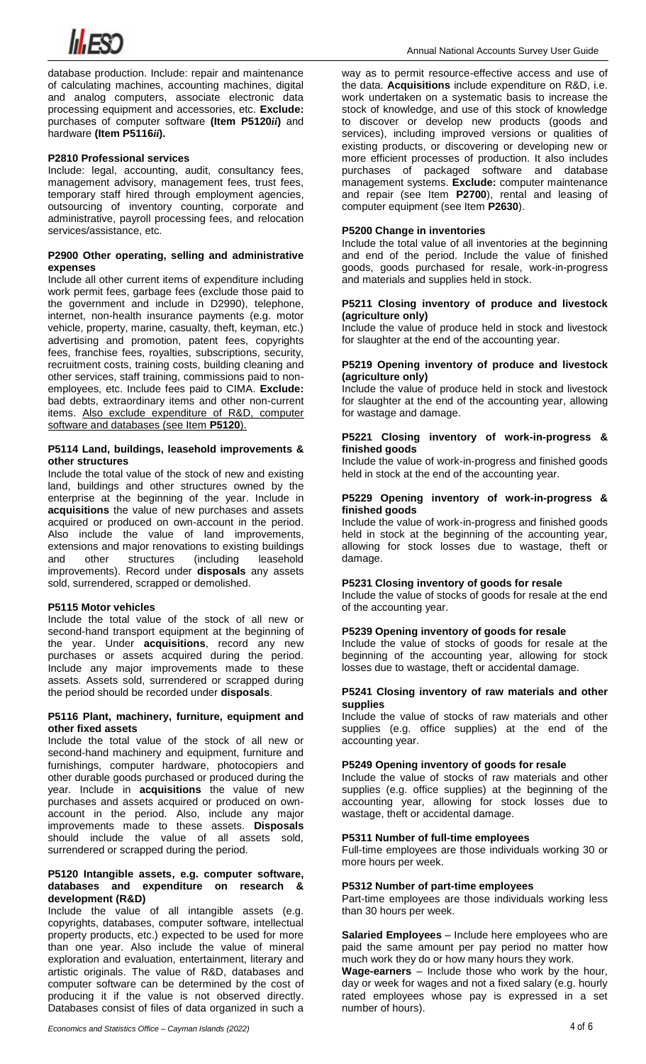

database production. Include: repair and maintenance of calculating machines, accounting machines, digital and analog computers, associate electronic data processing equipment and accessories, etc. **Exclude:** purchases of computer software **(Item P5120***ii***)** and hardware **(Item P5116***ii***).**

## **P2810 Professional services**

Include: legal, accounting, audit, consultancy fees, management advisory, management fees, trust fees, temporary staff hired through employment agencies, outsourcing of inventory counting, corporate and administrative, payroll processing fees, and relocation services/assistance, etc.

## **P2900 Other operating, selling and administrative expenses**

Include all other current items of expenditure including work permit fees, garbage fees (exclude those paid to the government and include in D2990), telephone, internet, non-health insurance payments (e.g. motor vehicle, property, marine, casualty, theft, keyman, etc.) advertising and promotion, patent fees, copyrights fees, franchise fees, royalties, subscriptions, security, recruitment costs, training costs, building cleaning and other services, staff training, commissions paid to nonemployees, etc. Include fees paid to CIMA. **Exclude:** bad debts, extraordinary items and other non-current items. Also exclude expenditure of R&D, computer software and databases (see Item **P5120**).

#### **P5114 Land, buildings, leasehold improvements & other structures**

Include the total value of the stock of new and existing land, buildings and other structures owned by the enterprise at the beginning of the year. Include in **acquisitions** the value of new purchases and assets acquired or produced on own-account in the period. Also include the value of land improvements, extensions and major renovations to existing buildings and other structures (including leasehold improvements). Record under **disposals** any assets sold, surrendered, scrapped or demolished.

## **P5115 Motor vehicles**

Include the total value of the stock of all new or second-hand transport equipment at the beginning of the year. Under **acquisitions**, record any new purchases or assets acquired during the period. Include any major improvements made to these assets. Assets sold, surrendered or scrapped during the period should be recorded under **disposals**.

### **P5116 Plant, machinery, furniture, equipment and other fixed assets**

Include the total value of the stock of all new or second-hand machinery and equipment, furniture and furnishings, computer hardware, photocopiers and other durable goods purchased or produced during the year. Include in **acquisitions** the value of new purchases and assets acquired or produced on ownaccount in the period. Also, include any major improvements made to these assets. **Disposals** should include the value of all assets sold, surrendered or scrapped during the period.

#### **P5120 Intangible assets, e.g. computer software, databases and expenditure on research & development (R&D)**

Include the value of all intangible assets (e.g. copyrights, databases, computer software, intellectual property products, etc.) expected to be used for more than one year. Also include the value of mineral exploration and evaluation, entertainment, literary and artistic originals. The value of R&D, databases and computer software can be determined by the cost of producing it if the value is not observed directly. Databases consist of files of data organized in such a

way as to permit resource-effective access and use of the data. **Acquisitions** include expenditure on R&D, i.e. work undertaken on a systematic basis to increase the stock of knowledge, and use of this stock of knowledge to discover or develop new products (goods and services), including improved versions or qualities of existing products, or discovering or developing new or more efficient processes of production. It also includes purchases of packaged software and database management systems. **Exclude:** computer maintenance and repair (see Item **P2700**), rental and leasing of computer equipment (see Item **P2630**).

# **P5200 Change in inventories**

Include the total value of all inventories at the beginning and end of the period. Include the value of finished goods, goods purchased for resale, work-in-progress and materials and supplies held in stock.

#### **P5211 Closing inventory of produce and livestock (agriculture only)**

Include the value of produce held in stock and livestock for slaughter at the end of the accounting year.

#### **P5219 Opening inventory of produce and livestock (agriculture only)**

Include the value of produce held in stock and livestock for slaughter at the end of the accounting year, allowing for wastage and damage.

## **P5221 Closing inventory of work-in-progress & finished goods**

Include the value of work-in-progress and finished goods held in stock at the end of the accounting year.

#### **P5229 Opening inventory of work-in-progress & finished goods**

Include the value of work-in-progress and finished goods held in stock at the beginning of the accounting year, allowing for stock losses due to wastage, theft or damage.

# **P5231 Closing inventory of goods for resale**

Include the value of stocks of goods for resale at the end of the accounting year.

## **P5239 Opening inventory of goods for resale**

Include the value of stocks of goods for resale at the beginning of the accounting year, allowing for stock losses due to wastage, theft or accidental damage.

#### **P5241 Closing inventory of raw materials and other supplies**

Include the value of stocks of raw materials and other supplies (e.g. office supplies) at the end of the accounting year.

### **P5249 Opening inventory of goods for resale**

Include the value of stocks of raw materials and other supplies (e.g. office supplies) at the beginning of the accounting year, allowing for stock losses due to wastage, theft or accidental damage.

# **P5311 Number of full-time employees**

Full-time employees are those individuals working 30 or more hours per week.

#### **P5312 Number of part-time employees**

Part-time employees are those individuals working less than 30 hours per week.

**Salaried Employees** – Include here employees who are paid the same amount per pay period no matter how much work they do or how many hours they work.

**Wage-earners** – Include those who work by the hour, day or week for wages and not a fixed salary (e.g. hourly rated employees whose pay is expressed in a set number of hours).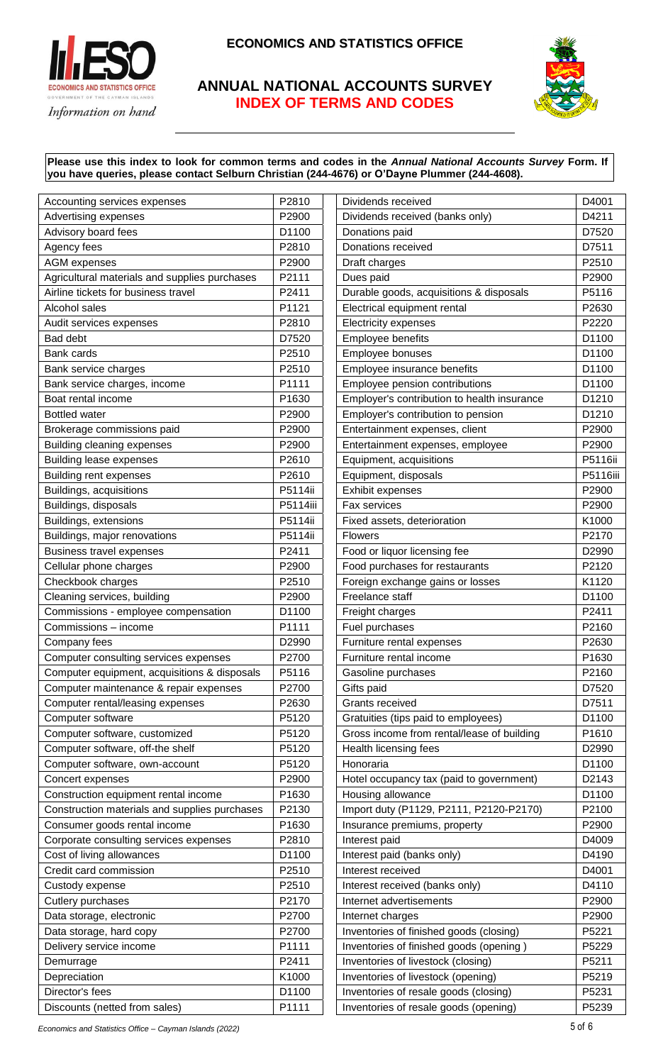

# **ANNUAL NATIONAL ACCOUNTS SURVEY INDEX OF TERMS AND CODES**



# **Please use this index to look for common terms and codes in the** *Annual National Accounts Survey* **Form. If you have queries, please contact Selburn Christian (244-4676) or O'Dayne Plummer (244-4608).**

| Accounting services expenses                  | P2810    | Dividends received                          | D4001    |
|-----------------------------------------------|----------|---------------------------------------------|----------|
| Advertising expenses                          | P2900    | Dividends received (banks only)             | D4211    |
| Advisory board fees                           | D1100    | Donations paid                              | D7520    |
| Agency fees                                   | P2810    | Donations received                          | D7511    |
| <b>AGM</b> expenses                           | P2900    | Draft charges                               | P2510    |
| Agricultural materials and supplies purchases | P2111    | Dues paid                                   | P2900    |
| Airline tickets for business travel           | P2411    | Durable goods, acquisitions & disposals     | P5116    |
| Alcohol sales                                 | P1121    | Electrical equipment rental                 | P2630    |
| Audit services expenses                       | P2810    | <b>Electricity expenses</b>                 | P2220    |
| Bad debt                                      | D7520    | Employee benefits                           | D1100    |
| <b>Bank cards</b>                             | P2510    | Employee bonuses                            | D1100    |
| Bank service charges                          | P2510    | Employee insurance benefits                 | D1100    |
| Bank service charges, income                  | P1111    | Employee pension contributions              | D1100    |
| Boat rental income                            | P1630    | Employer's contribution to health insurance | D1210    |
| <b>Bottled water</b>                          | P2900    | Employer's contribution to pension          | D1210    |
| Brokerage commissions paid                    | P2900    | Entertainment expenses, client              | P2900    |
| Building cleaning expenses                    | P2900    | Entertainment expenses, employee            | P2900    |
| <b>Building lease expenses</b>                | P2610    | Equipment, acquisitions                     | P5116ii  |
| <b>Building rent expenses</b>                 | P2610    | Equipment, disposals                        | P5116iii |
| Buildings, acquisitions                       | P5114ii  | Exhibit expenses                            | P2900    |
| Buildings, disposals                          | P5114iii | Fax services                                | P2900    |
| Buildings, extensions                         | P5114ii  | Fixed assets, deterioration                 | K1000    |
| Buildings, major renovations                  | P5114ii  | <b>Flowers</b>                              | P2170    |
| <b>Business travel expenses</b>               | P2411    | Food or liquor licensing fee                | D2990    |
| Cellular phone charges                        | P2900    | Food purchases for restaurants              | P2120    |
| Checkbook charges                             | P2510    | Foreign exchange gains or losses            | K1120    |
| Cleaning services, building                   | P2900    | Freelance staff                             | D1100    |
| Commissions - employee compensation           | D1100    | Freight charges                             | P2411    |
| Commissions - income                          | P1111    | Fuel purchases                              | P2160    |
| Company fees                                  | D2990    | Furniture rental expenses                   | P2630    |
| Computer consulting services expenses         | P2700    | Furniture rental income                     | P1630    |
| Computer equipment, acquisitions & disposals  | P5116    | Gasoline purchases                          | P2160    |
| Computer maintenance & repair expenses        | P2700    | Gifts paid                                  | D7520    |
| Computer rental/leasing expenses              | P2630    | Grants received                             | D7511    |
| Computer software                             | P5120    | Gratuities (tips paid to employees)         | D1100    |
| Computer software, customized                 | P5120    | Gross income from rental/lease of building  | P1610    |
| Computer software, off-the shelf              | P5120    | Health licensing fees                       | D2990    |
| Computer software, own-account                | P5120    | Honoraria                                   | D1100    |
| Concert expenses                              | P2900    | Hotel occupancy tax (paid to government)    | D2143    |
| Construction equipment rental income          | P1630    | Housing allowance                           | D1100    |
| Construction materials and supplies purchases | P2130    | Import duty (P1129, P2111, P2120-P2170)     | P2100    |
| Consumer goods rental income                  | P1630    | Insurance premiums, property                | P2900    |
| Corporate consulting services expenses        | P2810    | Interest paid                               | D4009    |
| Cost of living allowances                     | D1100    | Interest paid (banks only)                  | D4190    |
| Credit card commission                        | P2510    | Interest received                           | D4001    |
| Custody expense                               | P2510    | Interest received (banks only)              | D4110    |
| Cutlery purchases                             | P2170    | Internet advertisements                     | P2900    |
| Data storage, electronic                      | P2700    | Internet charges                            | P2900    |
| Data storage, hard copy                       | P2700    | Inventories of finished goods (closing)     | P5221    |
| Delivery service income                       | P1111    | Inventories of finished goods (opening)     | P5229    |
| Demurrage                                     | P2411    | Inventories of livestock (closing)          | P5211    |
| Depreciation                                  | K1000    | Inventories of livestock (opening)          | P5219    |
| Director's fees                               | D1100    | Inventories of resale goods (closing)       | P5231    |
| Discounts (netted from sales)                 | P1111    | Inventories of resale goods (opening)       | P5239    |

*Economics and Statistics Office – Cayman Islands (2022)* 5 of 6